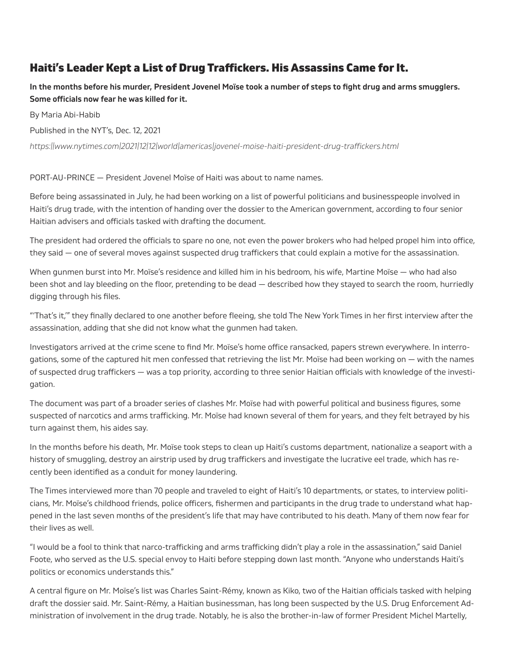## Haiti's Leader Kept a List of Drug Trafickers. His Assassins Came for It.

**In the months before his murder, President Jovenel Moïse took a number of steps to fght drug and arms smugglers. Some oficials now fear he was killed for it.**

By Maria Abi-Habib

Published in the NYT's, Dec. 12, 2021

*https://www.nytimes.com/2021/12/12/world/americas/jovenel-moise-haiti-president-drug-trafickers.html*

PORT-AU-PRINCE — President Jovenel Moïse of Haiti was about to name names.

Before being assassinated in July, he had been working on a list of powerful politicians and businesspeople involved in Haiti's drug trade, with the intention of handing over the dossier to the American government, according to four senior Haitian advisers and oficials tasked with drafting the document.

The president had ordered the oficials to spare no one, not even the power brokers who had helped propel him into ofice, they said — one of several moves against suspected drug trafickers that could explain a motive for the assassination.

When gunmen burst into Mr. Moïse's residence and killed him in his bedroom, his wife, Martine Moïse — who had also been shot and lay bleeding on the floor, pretending to be dead — described how they stayed to search the room, hurriedly digging through his fles.

"'That's it,'" they fnally declared to one another before fleeing, she told The New York Times in her frst interview after the assassination, adding that she did not know what the gunmen had taken.

Investigators arrived at the crime scene to fnd Mr. Moïse's home ofice ransacked, papers strewn everywhere. In interrogations, some of the captured hit men confessed that retrieving the list Mr. Moïse had been working on — with the names of suspected drug trafickers — was a top priority, according to three senior Haitian oficials with knowledge of the investigation.

The document was part of a broader series of clashes Mr. Moïse had with powerful political and business fgures, some suspected of narcotics and arms traficking. Mr. Moïse had known several of them for years, and they felt betrayed by his turn against them, his aides say.

In the months before his death, Mr. Moïse took steps to clean up Haiti's customs department, nationalize a seaport with a history of smuggling, destroy an airstrip used by drug trafickers and investigate the lucrative eel trade, which has recently been identifed as a conduit for money laundering.

The Times interviewed more than 70 people and traveled to eight of Haiti's 10 departments, or states, to interview politicians, Mr. Moïse's childhood friends, police oficers, fshermen and participants in the drug trade to understand what happened in the last seven months of the president's life that may have contributed to his death. Many of them now fear for their lives as well.

"I would be a fool to think that narco-traficking and arms traficking didn't play a role in the assassination," said Daniel Foote, who served as the U.S. special envoy to Haiti before stepping down last month. "Anyone who understands Haiti's politics or economics understands this."

A central fgure on Mr. Moïse's list was Charles Saint-Rémy, known as Kiko, two of the Haitian oficials tasked with helping draft the dossier said. Mr. Saint-Rémy, a Haitian businessman, has long been suspected by the U.S. Drug Enforcement Administration of involvement in the drug trade. Notably, he is also the brother-in-law of former President Michel Martelly,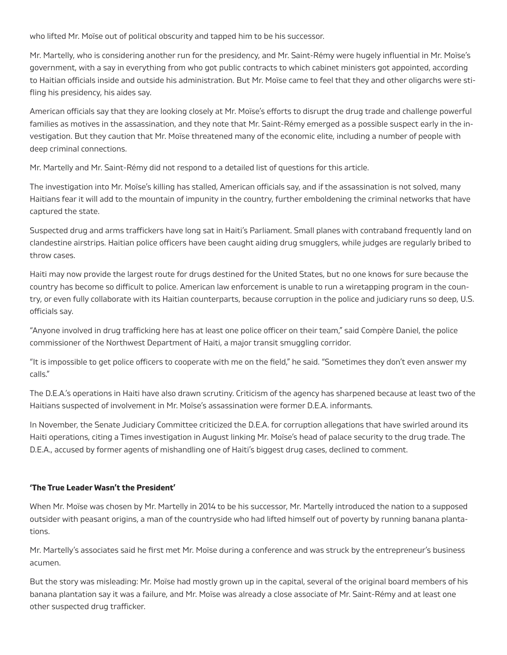who lifted Mr. Moïse out of political obscurity and tapped him to be his successor.

Mr. Martelly, who is considering another run for the presidency, and Mr. Saint-Rémy were hugely influential in Mr. Moïse's government, with a say in everything from who got public contracts to which cabinet ministers got appointed, according to Haitian oficials inside and outside his administration. But Mr. Moïse came to feel that they and other oligarchs were stifling his presidency, his aides say.

American oficials say that they are looking closely at Mr. Moïse's eforts to disrupt the drug trade and challenge powerful families as motives in the assassination, and they note that Mr. Saint-Rémy emerged as a possible suspect early in the investigation. But they caution that Mr. Moïse threatened many of the economic elite, including a number of people with deep criminal connections.

Mr. Martelly and Mr. Saint-Rémy did not respond to a detailed list of questions for this article.

The investigation into Mr. Moïse's killing has stalled, American oficials say, and if the assassination is not solved, many Haitians fear it will add to the mountain of impunity in the country, further emboldening the criminal networks that have captured the state.

Suspected drug and arms trafickers have long sat in Haiti's Parliament. Small planes with contraband frequently land on clandestine airstrips. Haitian police oficers have been caught aiding drug smugglers, while judges are regularly bribed to throw cases.

Haiti may now provide the largest route for drugs destined for the United States, but no one knows for sure because the country has become so dificult to police. American law enforcement is unable to run a wiretapping program in the country, or even fully collaborate with its Haitian counterparts, because corruption in the police and judiciary runs so deep, U.S. oficials say.

"Anyone involved in drug traficking here has at least one police oficer on their team," said Compère Daniel, the police commissioner of the Northwest Department of Haiti, a major transit smuggling corridor.

"It is impossible to get police oficers to cooperate with me on the feld," he said. "Sometimes they don't even answer my calls."

The D.E.A.'s operations in Haiti have also drawn scrutiny. Criticism of the agency has sharpened because at least two of the Haitians suspected of involvement in Mr. Moïse's assassination were former D.E.A. informants.

In November, the Senate Judiciary Committee criticized the D.E.A. for corruption allegations that have swirled around its Haiti operations, citing a Times investigation in August linking Mr. Moïse's head of palace security to the drug trade. The D.E.A., accused by former agents of mishandling one of Haiti's biggest drug cases, declined to comment.

## **'The True Leader Wasn't the President'**

When Mr. Moïse was chosen by Mr. Martelly in 2014 to be his successor, Mr. Martelly introduced the nation to a supposed outsider with peasant origins, a man of the countryside who had lifted himself out of poverty by running banana plantations.

Mr. Martelly's associates said he frst met Mr. Moïse during a conference and was struck by the entrepreneur's business acumen.

But the story was misleading: Mr. Moïse had mostly grown up in the capital, several of the original board members of his banana plantation say it was a failure, and Mr. Moïse was already a close associate of Mr. Saint-Rémy and at least one other suspected drug traficker.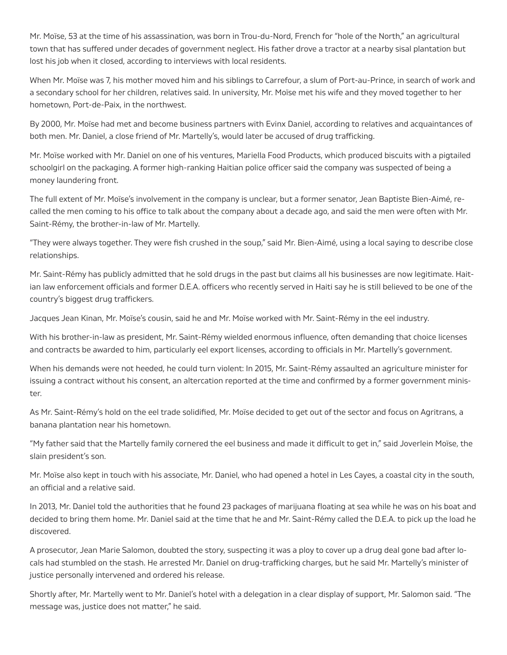Mr. Moïse, 53 at the time of his assassination, was born in Trou-du-Nord, French for "hole of the North," an agricultural town that has sufered under decades of government neglect. His father drove a tractor at a nearby sisal plantation but lost his job when it closed, according to interviews with local residents.

When Mr. Moïse was 7, his mother moved him and his siblings to Carrefour, a slum of Port-au-Prince, in search of work and a secondary school for her children, relatives said. In university, Mr. Moïse met his wife and they moved together to her hometown, Port-de-Paix, in the northwest.

By 2000, Mr. Moïse had met and become business partners with Evinx Daniel, according to relatives and acquaintances of both men. Mr. Daniel, a close friend of Mr. Martelly's, would later be accused of drug traficking.

Mr. Moïse worked with Mr. Daniel on one of his ventures, Mariella Food Products, which produced biscuits with a pigtailed schoolgirl on the packaging. A former high-ranking Haitian police oficer said the company was suspected of being a money laundering front.

The full extent of Mr. Moïse's involvement in the company is unclear, but a former senator, Jean Baptiste Bien-Aimé, recalled the men coming to his ofice to talk about the company about a decade ago, and said the men were often with Mr. Saint-Rémy, the brother-in-law of Mr. Martelly.

"They were always together. They were fsh crushed in the soup," said Mr. Bien-Aimé, using a local saying to describe close relationships.

Mr. Saint-Rémy has publicly admitted that he sold drugs in the past but claims all his businesses are now legitimate. Haitian law enforcement officials and former D.E.A. officers who recently served in Haiti say he is still believed to be one of the country's biggest drug trafickers.

Jacques Jean Kinan, Mr. Moïse's cousin, said he and Mr. Moïse worked with Mr. Saint-Rémy in the eel industry.

With his brother-in-law as president, Mr. Saint-Rémy wielded enormous influence, often demanding that choice licenses and contracts be awarded to him, particularly eel export licenses, according to oficials in Mr. Martelly's government.

When his demands were not heeded, he could turn violent: In 2015, Mr. Saint-Rémy assaulted an agriculture minister for issuing a contract without his consent, an altercation reported at the time and confrmed by a former government minister.

As Mr. Saint-Rémy's hold on the eel trade solidifed, Mr. Moïse decided to get out of the sector and focus on Agritrans, a banana plantation near his hometown.

"My father said that the Martelly family cornered the eel business and made it dificult to get in," said Joverlein Moïse, the slain president's son.

Mr. Moïse also kept in touch with his associate, Mr. Daniel, who had opened a hotel in Les Cayes, a coastal city in the south, an oficial and a relative said.

In 2013, Mr. Daniel told the authorities that he found 23 packages of marijuana floating at sea while he was on his boat and decided to bring them home. Mr. Daniel said at the time that he and Mr. Saint-Rémy called the D.E.A. to pick up the load he discovered.

A prosecutor, Jean Marie Salomon, doubted the story, suspecting it was a ploy to cover up a drug deal gone bad after locals had stumbled on the stash. He arrested Mr. Daniel on drug-traficking charges, but he said Mr. Martelly's minister of justice personally intervened and ordered his release.

Shortly after, Mr. Martelly went to Mr. Daniel's hotel with a delegation in a clear display of support, Mr. Salomon said. "The message was, justice does not matter," he said.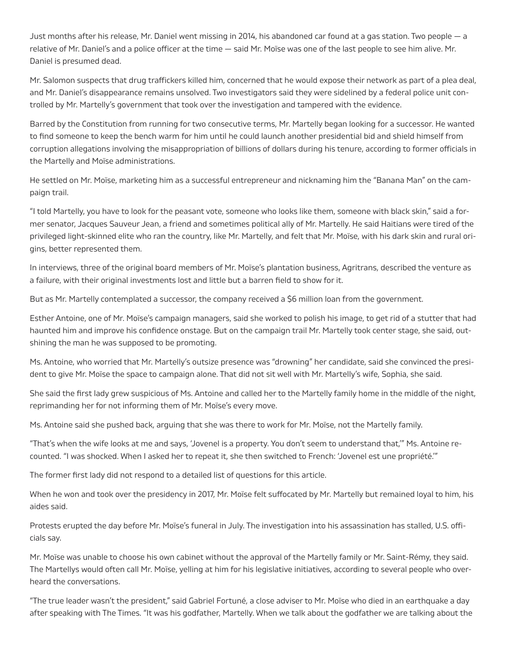Just months after his release, Mr. Daniel went missing in 2014, his abandoned car found at a gas station. Two people — a relative of Mr. Daniel's and a police oficer at the time — said Mr. Moïse was one of the last people to see him alive. Mr. Daniel is presumed dead.

Mr. Salomon suspects that drug trafickers killed him, concerned that he would expose their network as part of a plea deal, and Mr. Daniel's disappearance remains unsolved. Two investigators said they were sidelined by a federal police unit controlled by Mr. Martelly's government that took over the investigation and tampered with the evidence.

Barred by the Constitution from running for two consecutive terms, Mr. Martelly began looking for a successor. He wanted to fnd someone to keep the bench warm for him until he could launch another presidential bid and shield himself from corruption allegations involving the misappropriation of billions of dollars during his tenure, according to former oficials in the Martelly and Moïse administrations.

He settled on Mr. Moïse, marketing him as a successful entrepreneur and nicknaming him the "Banana Man" on the campaign trail.

"I told Martelly, you have to look for the peasant vote, someone who looks like them, someone with black skin," said a former senator, Jacques Sauveur Jean, a friend and sometimes political ally of Mr. Martelly. He said Haitians were tired of the privileged light-skinned elite who ran the country, like Mr. Martelly, and felt that Mr. Moïse, with his dark skin and rural origins, better represented them.

In interviews, three of the original board members of Mr. Moïse's plantation business, Agritrans, described the venture as a failure, with their original investments lost and little but a barren feld to show for it.

But as Mr. Martelly contemplated a successor, the company received a \$6 million loan from the government.

Esther Antoine, one of Mr. Moïse's campaign managers, said she worked to polish his image, to get rid of a stutter that had haunted him and improve his confdence onstage. But on the campaign trail Mr. Martelly took center stage, she said, outshining the man he was supposed to be promoting.

Ms. Antoine, who worried that Mr. Martelly's outsize presence was "drowning" her candidate, said she convinced the president to give Mr. Moïse the space to campaign alone. That did not sit well with Mr. Martelly's wife, Sophia, she said.

She said the frst lady grew suspicious of Ms. Antoine and called her to the Martelly family home in the middle of the night, reprimanding her for not informing them of Mr. Moïse's every move.

Ms. Antoine said she pushed back, arguing that she was there to work for Mr. Moïse, not the Martelly family.

"That's when the wife looks at me and says, 'Jovenel is a property. You don't seem to understand that,'" Ms. Antoine recounted. "I was shocked. When I asked her to repeat it, she then switched to French: 'Jovenel est une propriété.'"

The former frst lady did not respond to a detailed list of questions for this article.

When he won and took over the presidency in 2017, Mr. Moïse felt suffocated by Mr. Martelly but remained loyal to him, his aides said.

Protests erupted the day before Mr. Moïse's funeral in July. The investigation into his assassination has stalled, U.S. oficials say.

Mr. Moïse was unable to choose his own cabinet without the approval of the Martelly family or Mr. Saint-Rémy, they said. The Martellys would often call Mr. Moïse, yelling at him for his legislative initiatives, according to several people who overheard the conversations.

"The true leader wasn't the president," said Gabriel Fortuné, a close adviser to Mr. Moïse who died in an earthquake a day after speaking with The Times. "It was his godfather, Martelly. When we talk about the godfather we are talking about the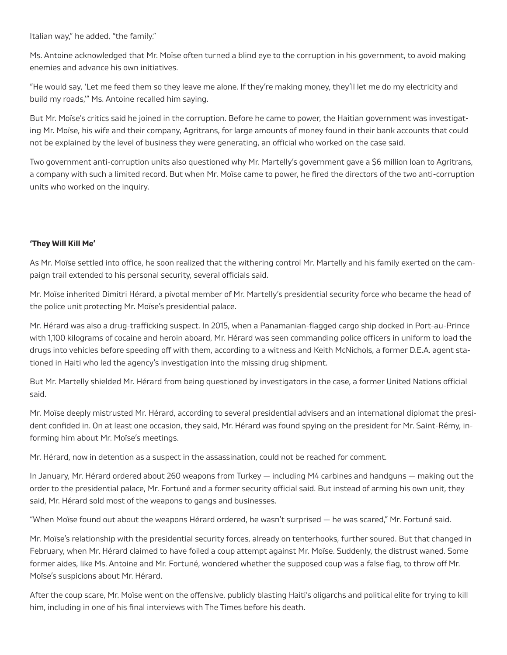Italian way," he added, "the family."

Ms. Antoine acknowledged that Mr. Moïse often turned a blind eye to the corruption in his government, to avoid making enemies and advance his own initiatives.

"He would say, 'Let me feed them so they leave me alone. If they're making money, they'll let me do my electricity and build my roads,'" Ms. Antoine recalled him saying.

But Mr. Moïse's critics said he joined in the corruption. Before he came to power, the Haitian government was investigating Mr. Moïse, his wife and their company, Agritrans, for large amounts of money found in their bank accounts that could not be explained by the level of business they were generating, an official who worked on the case said.

Two government anti-corruption units also questioned why Mr. Martelly's government gave a \$6 million loan to Agritrans, a company with such a limited record. But when Mr. Moïse came to power, he fred the directors of the two anti-corruption units who worked on the inquiry.

## **'They Will Kill Me'**

As Mr. Moïse settled into ofice, he soon realized that the withering control Mr. Martelly and his family exerted on the campaign trail extended to his personal security, several oficials said.

Mr. Moïse inherited Dimitri Hérard, a pivotal member of Mr. Martelly's presidential security force who became the head of the police unit protecting Mr. Moïse's presidential palace.

Mr. Hérard was also a drug-traficking suspect. In 2015, when a Panamanian-flagged cargo ship docked in Port-au-Prince with 1,100 kilograms of cocaine and heroin aboard, Mr. Hérard was seen commanding police oficers in uniform to load the drugs into vehicles before speeding off with them, according to a witness and Keith McNichols, a former D.E.A. agent stationed in Haiti who led the agency's investigation into the missing drug shipment.

But Mr. Martelly shielded Mr. Hérard from being questioned by investigators in the case, a former United Nations oficial said.

Mr. Moïse deeply mistrusted Mr. Hérard, according to several presidential advisers and an international diplomat the president confded in. On at least one occasion, they said, Mr. Hérard was found spying on the president for Mr. Saint-Rémy, informing him about Mr. Moïse's meetings.

Mr. Hérard, now in detention as a suspect in the assassination, could not be reached for comment.

In January, Mr. Hérard ordered about 260 weapons from Turkey — including M4 carbines and handguns — making out the order to the presidential palace, Mr. Fortuné and a former security oficial said. But instead of arming his own unit, they said, Mr. Hérard sold most of the weapons to gangs and businesses.

"When Moïse found out about the weapons Hérard ordered, he wasn't surprised — he was scared," Mr. Fortuné said.

Mr. Moïse's relationship with the presidential security forces, already on tenterhooks, further soured. But that changed in February, when Mr. Hérard claimed to have foiled a coup attempt against Mr. Moïse. Suddenly, the distrust waned. Some former aides, like Ms. Antoine and Mr. Fortuné, wondered whether the supposed coup was a false flag, to throw off Mr. Moïse's suspicions about Mr. Hérard.

After the coup scare, Mr. Moïse went on the offensive, publicly blasting Haiti's oligarchs and political elite for trying to kill him, including in one of his final interviews with The Times before his death.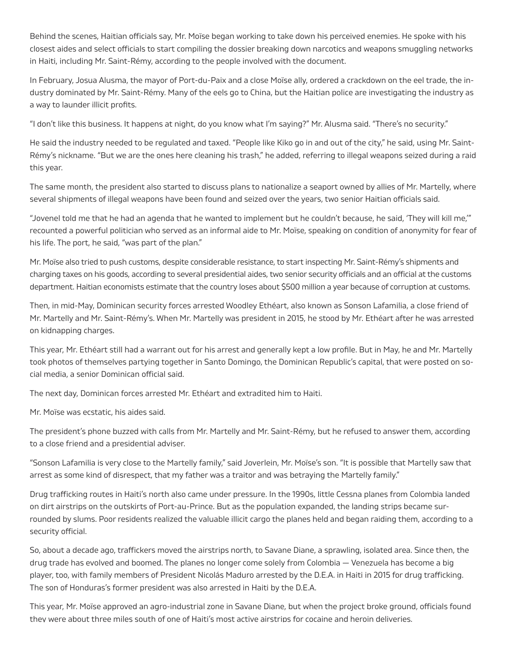Behind the scenes, Haitian oficials say, Mr. Moïse began working to take down his perceived enemies. He spoke with his closest aides and select oficials to start compiling the dossier breaking down narcotics and weapons smuggling networks in Haiti, including Mr. Saint-Rémy, according to the people involved with the document.

In February, Josua Alusma, the mayor of Port-du-Paix and a close Moïse ally, ordered a crackdown on the eel trade, the industry dominated by Mr. Saint-Rémy. Many of the eels go to China, but the Haitian police are investigating the industry as a way to launder illicit profits.

"I don't like this business. It happens at night, do you know what I'm saying?" Mr. Alusma said. "There's no security."

He said the industry needed to be regulated and taxed. "People like Kiko go in and out of the city," he said, using Mr. Saint-Rémy's nickname. "But we are the ones here cleaning his trash," he added, referring to illegal weapons seized during a raid this year.

The same month, the president also started to discuss plans to nationalize a seaport owned by allies of Mr. Martelly, where several shipments of illegal weapons have been found and seized over the years, two senior Haitian oficials said.

"Jovenel told me that he had an agenda that he wanted to implement but he couldn't because, he said, 'They will kill me,'" recounted a powerful politician who served as an informal aide to Mr. Moïse, speaking on condition of anonymity for fear of his life. The port, he said, "was part of the plan."

Mr. Moïse also tried to push customs, despite considerable resistance, to start inspecting Mr. Saint-Rémy's shipments and charging taxes on his goods, according to several presidential aides, two senior security oficials and an oficial at the customs department. Haitian economists estimate that the country loses about \$500 million a year because of corruption at customs.

Then, in mid-May, Dominican security forces arrested Woodley Ethéart, also known as Sonson Lafamilia, a close friend of Mr. Martelly and Mr. Saint-Rémy's. When Mr. Martelly was president in 2015, he stood by Mr. Ethéart after he was arrested on kidnapping charges.

This year, Mr. Ethéart still had a warrant out for his arrest and generally kept a low profle. But in May, he and Mr. Martelly took photos of themselves partying together in Santo Domingo, the Dominican Republic's capital, that were posted on social media, a senior Dominican oficial said.

The next day, Dominican forces arrested Mr. Ethéart and extradited him to Haiti.

Mr. Moïse was ecstatic, his aides said.

The president's phone buzzed with calls from Mr. Martelly and Mr. Saint-Rémy, but he refused to answer them, according to a close friend and a presidential adviser.

"Sonson Lafamilia is very close to the Martelly family," said Joverlein, Mr. Moïse's son. "It is possible that Martelly saw that arrest as some kind of disrespect, that my father was a traitor and was betraying the Martelly family."

Drug traficking routes in Haiti's north also came under pressure. In the 1990s, little Cessna planes from Colombia landed on dirt airstrips on the outskirts of Port-au-Prince. But as the population expanded, the landing strips became surrounded by slums. Poor residents realized the valuable illicit cargo the planes held and began raiding them, according to a security official.

So, about a decade ago, trafickers moved the airstrips north, to Savane Diane, a sprawling, isolated area. Since then, the drug trade has evolved and boomed. The planes no longer come solely from Colombia — Venezuela has become a big player, too, with family members of President Nicolás Maduro arrested by the D.E.A. in Haiti in 2015 for drug traficking. The son of Honduras's former president was also arrested in Haiti by the D.E.A.

This year, Mr. Moïse approved an agro-industrial zone in Savane Diane, but when the project broke ground, oficials found they were about three miles south of one of Haiti's most active airstrips for cocaine and heroin deliveries.